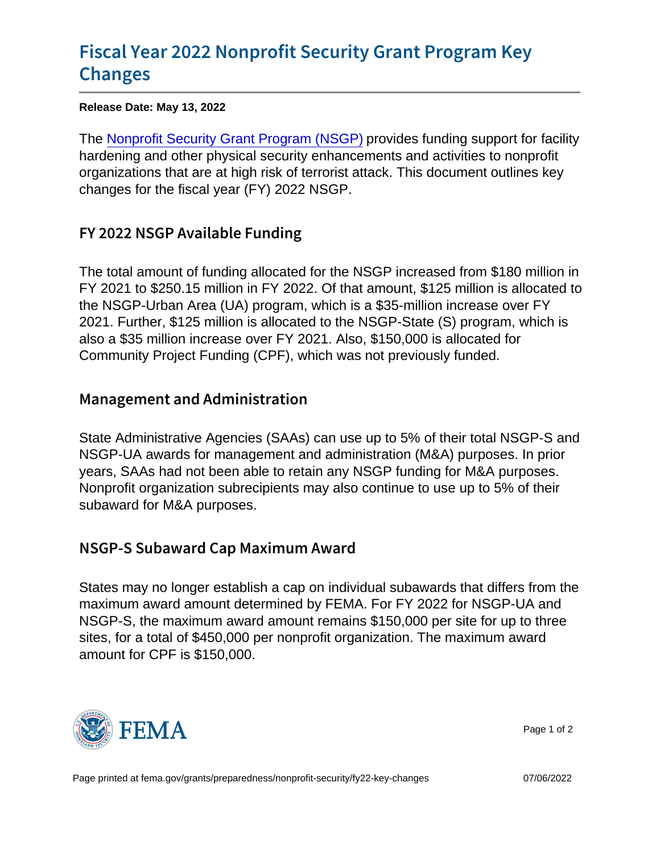# [Fiscal Year 2022 Nonprofit Secur](https://www.fema.gov/grants/preparedness/nonprofit-security/fy22-key-changes)ity Grant [Chan](https://www.fema.gov/grants/preparedness/nonprofit-security/fy22-key-changes)ges

Release Date: May 13, 2022

The [Nonprofit Security Grant Program \(NSGP\)](https://www.fema.gov/grants/preparedness/nonprofit-security) provides funding support for facility hardening and other physical security enhancements and activities to nonprofit organizations that are at high risk of terrorist attack. This document outlines key changes for the fiscal year (FY) 2022 NSGP.

# FY 2022 NSGP Available Funding

The total amount of funding allocated for the NSGP increased from \$180 million in FY 2021 to \$250.15 million in FY 2022. Of that amount, \$125 million is allocated to the NSGP-Urban Area (UA) program, which is a \$35-million increase over FY 2021. Further, \$125 million is allocated to the NSGP-State (S) program, which is also a \$35 million increase over FY 2021. Also, \$150,000 is allocated for Community Project Funding (CPF), which was not previously funded.

## Management and Administration

State Administrative Agencies (SAAs) can use up to 5% of their total NSGP-S and NSGP-UA awards for management and administration (M&A) purposes. In prior years, SAAs had not been able to retain any NSGP funding for M&A purposes. Nonprofit organization subrecipients may also continue to use up to 5% of their subaward for M&A purposes.

### NSGP-S Subaward Cap Maximum Award

States may no longer establish a cap on individual subawards that differs from the maximum award amount determined by FEMA. For FY 2022 for NSGP-UA and NSGP-S, the maximum award amount remains \$150,000 per site for up to three sites, for a total of \$450,000 per nonprofit organization. The maximum award amount for CPF is \$150,000.



Page 1 of 2